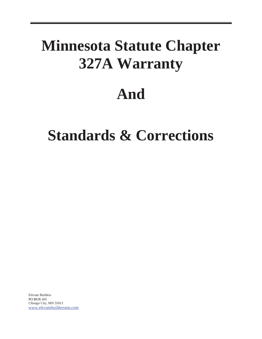## **Minnesota Statute Chapter 327A Warranty**

## **And**

## **Standards & Corrections**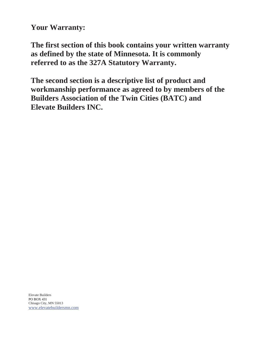**Your Warranty:**

**The first section of this book contains your written warranty as defined by the state of Minnesota. It is commonly referred to as the 327A Statutory Warranty.**

**The second section is a descriptive list of product and workmanship performance as agreed to by members of the Builders Association of the Twin Cities (BATC) and Elevate Builders INC.**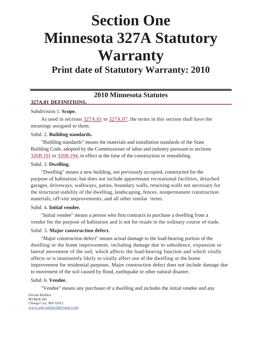# **Section One Minnesota 327A Statutory Warranty**

## **Print date of Statutory Warranty: 2010**

### **2010 Minnesota Statutes**

#### **327A.01 DEFINITIONS.**

#### Subdivision 1. **Scope.**

As used in sections 327A.01 to 327A.07, the terms in this section shall have the meanings assigned to them.

#### Subd. 2. **Building standards.**

"Building standards" means the materials and installation standards of the State Building Code, adopted by the Commissioner of labor and industry pursuant to sections 326B.101 to 326B.194, in effect at the time of the construction or remodeling.

#### Subd. 3. **Dwelling.**

"Dwelling" means a new building, not previously occupied, constructed for the purpose of habitation; but does not include appurtenant recreational facilities, detached garages, driveways, walkways, patios, boundary walls, retaining walls not necessary for the structural stability of the dwelling, landscaping, fences, nonpermanent construction materials, off-site improvements, and all other similar items.

#### Subd. 4. **Initial vendee.**

"Initial vendee" means a person who first contracts to purchase a dwelling from a vendor for the purpose of habitation and is not for resale in the ordinary course of trade.

#### Subd. 5. **Major construction defect.**

"Major construction defect" means actual damage to the load-bearing portion of the dwelling or the home improvement, including damage due to subsidence, expansion or lateral movement of the soil, which affects the load-bearing function and which vitally affects or is imminently likely to vitally affect use of the dwelling or the home improvement for residential purposes. Major construction defect does not include damage due to movement of the soil caused by flood, earthquake or other natural disaster.

#### Subd. 6. **Vendee.**

"Vendee" means any purchaser of a dwelling and includes the initial vendee and any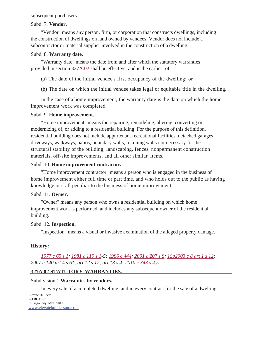subsequent purchasers.

#### Subd. 7. **Vendor.**

"Vendor" means any person, firm, or corporation that constructs dwellings, including the construction of dwellings on land owned by vendees. Vendor does not include a subcontractor or material supplier involved in the construction of a dwelling.

#### Subd. 8. **Warranty date.**

"Warranty date" means the date from and after which the statutory warranties provided in section 327A.02 shall be effective, and is the earliest of:

(a) The date of the initial vendee's first occupancy of the dwelling; or

(b) The date on which the initial vendee takes legal or equitable title in the dwelling.

In the case of a home improvement, the warranty date is the date on which the home improvement work was completed.

#### Subd. 9. **Home improvement.**

"Home improvement" means the repairing, remodeling, altering, converting or modernizing of, or adding to a residential building. For the purpose of this definition, residential building does not include appurtenant recreational facilities, detached garages, driveways, walkways, patios, boundary walls, retaining walls not necessary for the structural stability of the building, landscaping, fences, nonpermanent construction materials, off-site improvements, and all other similar items.

#### Subd. 10. **Home improvement contractor.**

"Home improvement contractor" means a person who is engaged in the business of home improvement either full time or part time, and who holds out to the public as having knowledge or skill peculiar to the business of home improvement.

#### Subd. 11. **Owner.**

"Owner" means any person who owns a residential building on which home improvement work is performed, and includes any subsequent owner of the residential building.

#### Subd. 12. **Inspection.**

"Inspection" means a visual or invasive examination of the alleged property damage.

#### **History:**

*1977 c 65 s 1; 1981 c 119 s 1-5; 1986 c 444; 2001 c 207 s 8; 1Sp2003 c 8 art 1 s 12; 2007 c 140 art 4 s 61; art 12 s 12; art 13 s 4; 2010 c 343 s 4,5*

#### **327A.02 STATUTORY WARRANTIES.**

#### Subdivision 1.**Warranties by vendors.**

Elevate Builders PO BOX 431 Chisago City, MN 55013 [www.elevatebuildersmn.com](http://www.nrphomes.com/) In every sale of a completed dwelling, and in every contract for the sale of a dwelling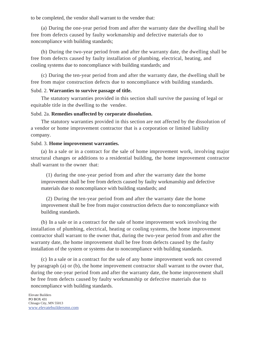to be completed, the vendor shall warrant to the vendee that:

(a) During the one-year period from and after the warranty date the dwelling shall be free from defects caused by faulty workmanship and defective materials due to noncompliance with building standards;

(b) During the two-year period from and after the warranty date, the dwelling shall be free from defects caused by faulty installation of plumbing, electrical, heating, and cooling systems due to noncompliance with building standards; and

(c) During the ten-year period from and after the warranty date, the dwelling shall be free from major construction defects due to noncompliance with building standards.

#### Subd. 2. **Warranties to survive passage of title.**

The statutory warranties provided in this section shall survive the passing of legal or equitable title in the dwelling to the vendee.

#### Subd. 2a. **Remedies unaffected by corporate dissolution.**

The statutory warranties provided in this section are not affected by the dissolution of a vendor or home improvement contractor that is a corporation or limited liability company.

#### Subd. 3. **Home improvement warranties.**

(a) In a sale or in a contract for the sale of home improvement work, involving major structural changes or additions to a residential building, the home improvement contractor shall warrant to the owner that:

(1) during the one-year period from and after the warranty date the home improvement shall be free from defects caused by faulty workmanship and defective materials due to noncompliance with building standards; and

(2) During the ten-year period from and after the warranty date the home improvement shall be free from major construction defects due to noncompliance with building standards.

(b) In a sale or in a contract for the sale of home improvement work involving the installation of plumbing, electrical, heating or cooling systems, the home improvement contractor shall warrant to the owner that, during the two-year period from and after the warranty date, the home improvement shall be free from defects caused by the faulty installation of the system or systems due to noncompliance with building standards.

(c) In a sale or in a contract for the sale of any home improvement work not covered by paragraph (a) or (b), the home improvement contractor shall warrant to the owner that, during the one-year period from and after the warranty date, the home improvement shall be free from defects caused by faulty workmanship or defective materials due to noncompliance with building standards.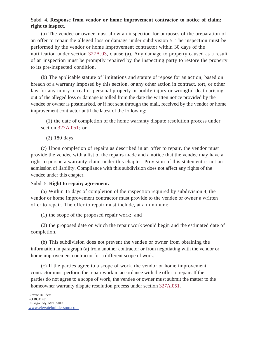#### Subd. 4. **Response from vendor or home improvement contractor to notice of claim; right to inspect.**

(a) The vendee or owner must allow an inspection for purposes of the preparation of an offer to repair the alleged loss or damage under subdivision 5. The inspection must be performed by the vendor or home improvement contractor within 30 days of the notification under section 327A.03, clause (a). Any damage to property caused as a result of an inspection must be promptly repaired by the inspecting party to restore the property to its pre-inspected condition.

(b) The applicable statute of limitations and statute of repose for an action, based on breach of a warranty imposed by this section, or any other action in contract, tort, or other law for any injury to real or personal property or bodily injury or wrongful death arising out of the alleged loss or damage is tolled from the date the written notice provided by the vendee or owner is postmarked, or if not sent through the mail, received by the vendor or home improvement contractor until the latest of the following:

(1) the date of completion of the home warranty dispute resolution process under section 327A.051; or

(2) 180 days.

(c) Upon completion of repairs as described in an offer to repair, the vendor must provide the vendee with a list of the repairs made and a notice that the vendee may have a right to pursue a warranty claim under this chapter. Provision of this statement is not an admission of liability. Compliance with this subdivision does not affect any rights of the vendee under this chapter.

#### Subd. 5. **Right to repair; agreement.**

(a) Within 15 days of completion of the inspection required by subdivision 4, the vendor or home improvement contractor must provide to the vendee or owner a written offer to repair. The offer to repair must include, at a minimum:

(1) the scope of the proposed repair work; and

(2) the proposed date on which the repair work would begin and the estimated date of completion.

(b) This subdivision does not prevent the vendee or owner from obtaining the information in paragraph (a) from another contractor or from negotiating with the vendor or home improvement contractor for a different scope of work.

(c) If the parties agree to a scope of work, the vendor or home improvement contractor must perform the repair work in accordance with the offer to repair. If the parties do not agree to a scope of work, the vendee or owner must submit the matter to the homeowner warranty dispute resolution process under section 327A.051.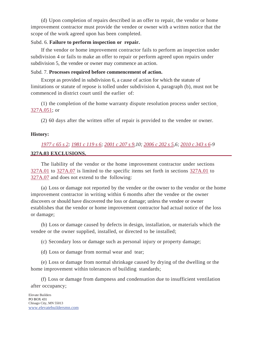(d) Upon completion of repairs described in an offer to repair, the vendor or home improvement contractor must provide the vendee or owner with a written notice that the scope of the work agreed upon has been completed.

#### Subd. 6. **Failure to perform inspection or repair.**

If the vendor or home improvement contractor fails to perform an inspection under subdivision 4 or fails to make an offer to repair or perform agreed upon repairs under subdivision 5, the vendee or owner may commence an action.

#### Subd. 7. **Processes required before commencement of action.**

Except as provided in subdivision 6, a cause of action for which the statute of limitations or statute of repose is tolled under subdivision 4, paragraph (b), must not be commenced in district court until the earlier of:

(1) the completion of the home warranty dispute resolution process under section 327A.051; or

(2) 60 days after the written offer of repair is provided to the vendee or owner.

#### **History:**

*1977 c 65 s 2; 1981 c 119 s 6; 2001 c 207 s 9,10; 2006 c 202 s 5,6; 2010 c 343 s 6-9* **327A.03 EXCLUSIONS.**

The liability of the vendor or the home improvement contractor under sections 327A.01 to 327A.07 is limited to the specific items set forth in sections 327A.01 to 327A.07 and does not extend to the following:

(a) Loss or damage not reported by the vendee or the owner to the vendor or the home improvement contractor in writing within 6 months after the vendee or the owner discovers or should have discovered the loss or damage; unless the vendee or owner establishes that the vendor or home improvement contractor had actual notice of the loss or damage;

(b) Loss or damage caused by defects in design, installation, or materials which the vendee or the owner supplied, installed, or directed to be installed;

(c) Secondary loss or damage such as personal injury or property damage;

(d) Loss or damage from normal wear and tear;

(e) Loss or damage from normal shrinkage caused by drying of the dwelling or the home improvement within tolerances of building standards;

(f) Loss or damage from dampness and condensation due to insufficient ventilation after occupancy;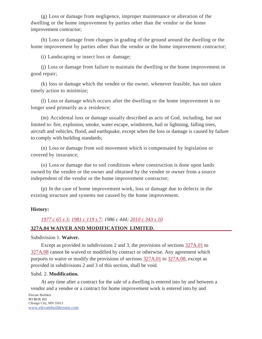(g) Loss or damage from negligence, improper maintenance or alteration of the dwelling or the home improvement by parties other than the vendor or the home improvement contractor;

(h) Loss or damage from changes in grading of the ground around the dwelling or the home improvement by parties other than the vendor or the home improvement contractor;

(i) Landscaping or insect loss or damage;

(j) Loss or damage from failure to maintain the dwelling or the home improvement in good repair;

(k) loss or damage which the vendee or the owner, whenever feasible, has not taken timely action to minimize;

(l) Loss or damage which occurs after the dwelling or the home improvement is no longer used primarily as a residence;

(m) Accidental loss or damage usually described as acts of God, including, but not limited to: fire, explosion, smoke, water escape, windstorm, hail or lightning, falling trees, aircraft and vehicles, flood, and earthquake, except when the loss or damage is caused by failure to comply with building standards;

(n) Loss or damage from soil movement which is compensated by legislation or covered by insurance;

(o) Loss or damage due to soil conditions where construction is done upon lands owned by the vendee or the owner and obtained by the vendee or owner from a source independent of the vendor or the home improvement contractor;

(p) In the case of home improvement work, loss or damage due to defects in the existing structure and systems not caused by the home improvement.

#### **History:**

*1977 c 65 s 3; 1981 c 119 s 7; 1986 c 444; 2010 c 343 s 10*

#### **327A.04 WAIVER AND MODIFICATION LIMITED.**

Subdivision 1. **Waiver.**

Except as provided in subdivisions 2 and 3, the provisions of sections 327A.01 to 327A.08 cannot be waived or modified by contract or otherwise. Any agreement which purports to waive or modify the provisions of sections 327A.01 to 327A.08, except as provided in subdivisions 2 and 3 of this section, shall be void.

#### Subd. 2. **Modification.**

At any time after a contract for the sale of a dwelling is entered into by and between a vendor and a vendee or a contract for home improvement work is entered into by and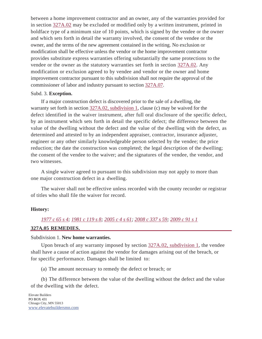between a home improvement contractor and an owner, any of the warranties provided for in section 327A.02 may be excluded or modified only by a written instrument, printed in boldface type of a minimum size of 10 points, which is signed by the vendee or the owner and which sets forth in detail the warranty involved, the consent of the vendee or the owner, and the terms of the new agreement contained in the writing. No exclusion or modification shall be effective unless the vendor or the home improvement contractor provides substitute express warranties offering substantially the same protections to the vendee or the owner as the statutory warranties set forth in section 327A.02. Any modification or exclusion agreed to by vendee and vendor or the owner and home improvement contractor pursuant to this subdivision shall not require the approval of the commissioner of labor and industry pursuant to section 327A.07.

#### Subd. 3. **Exception.**

If a major construction defect is discovered prior to the sale of a dwelling, the warranty set forth in section  $327A.02$ , subdivision 1, clause (c) may be waived for the defect identified in the waiver instrument, after full oral disclosure of the specific defect, by an instrument which sets forth in detail the specific defect; the difference between the value of the dwelling without the defect and the value of the dwelling with the defect, as determined and attested to by an independent appraiser, contractor, insurance adjuster, engineer or any other similarly knowledgeable person selected by the vendee; the price reduction; the date the construction was completed; the legal description of the dwelling; the consent of the vendee to the waiver; and the signatures of the vendee, the vendor, and two witnesses.

A single waiver agreed to pursuant to this subdivision may not apply to more than one major construction defect in a dwelling.

The waiver shall not be effective unless recorded with the county recorder or registrar of titles who shall file the waiver for record.

#### **History:**

*1977 c 65 s 4; 1981 c 119 s 8; 2005 c 4 s 61; 2008 c 337 s 59; 2009 c 91 s 1*

#### **327A.05 REMEDIES.**

#### Subdivision 1. **New home warranties.**

Upon breach of any warranty imposed by section 327A.02, subdivision 1, the vendee shall have a cause of action against the vendor for damages arising out of the breach, or for specific performance. Damages shall be limited to:

(a) The amount necessary to remedy the defect or breach; or

(b) The difference between the value of the dwelling without the defect and the value of the dwelling with the defect.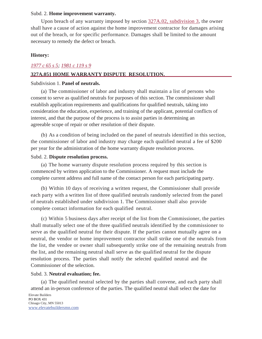#### Subd. 2. **Home improvement warranty.**

Upon breach of any warranty imposed by section 327A.02, subdivision 3, the owner shall have a cause of action against the home improvement contractor for damages arising out of the breach, or for specific performance. Damages shall be limited to the amount necessary to remedy the defect or breach.

#### **History:**

#### *1977 c 65 s 5; 1981 c 119 s 9*

#### **327A.051 HOME WARRANTY DISPUTE RESOLUTION.**

#### Subdivision 1. **Panel of neutrals.**

(a) The commissioner of labor and industry shall maintain a list of persons who consent to serve as qualified neutrals for purposes of this section. The commissioner shall establish application requirements and qualifications for qualified neutrals, taking into consideration the education, experience, and training of the applicant, potential conflicts of interest, and that the purpose of the process is to assist parties in determining an agreeable scope of repair or other resolution of their dispute.

(b) As a condition of being included on the panel of neutrals identified in this section, the commissioner of labor and industry may charge each qualified neutral a fee of \$200 per year for the administration of the home warranty dispute resolution process.

#### Subd. 2. **Dispute resolution process.**

(a) The home warranty dispute resolution process required by this section is commenced by written application to the Commissioner. A request must include the complete current address and full name of the contact person for each participating party.

(b) Within 10 days of receiving a written request, the Commissioner shall provide each party with a written list of three qualified neutrals randomly selected from the panel of neutrals established under subdivision 1. The Commissioner shall also provide complete contact information for each qualified neutral.

(c) Within 5 business days after receipt of the list from the Commissioner, the parties shall mutually select one of the three qualified neutrals identified by the commissioner to serve as the qualified neutral for their dispute. If the parties cannot mutually agree on a neutral, the vendor or home improvement contractor shall strike one of the neutrals from the list, the vendee or owner shall subsequently strike one of the remaining neutrals from the list, and the remaining neutral shall serve as the qualified neutral for the dispute resolution process. The parties shall notify the selected qualified neutral and the Commissioner of the selection.

#### Subd. 3. **Neutral evaluation; fee.**

(a) The qualified neutral selected by the parties shall convene, and each party shall attend an in-person conference of the parties. The qualified neutral shall select the date for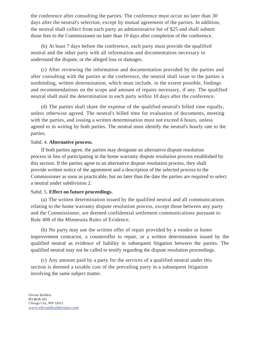the conference after consulting the parties. The conference must occur no later than 30 days after the neutral's selection, except by mutual agreement of the parties. In addition, the neutral shall collect from each party an administrative fee of \$25 and shall submit those fees to the Commissioner no later than 10 days after completion of the conference.

(b) At least 7 days before the conference, each party must provide the qualified neutral and the other party with all information and documentation necessary to understand the dispute, or the alleged loss or damages.

(c) After reviewing the information and documentation provided by the parties and after consulting with the parties at the conference, the neutral shall issue to the parties a nonbinding, written determination, which must include, to the extent possible, findings and recommendations on the scope and amount of repairs necessary, if any. The qualified neutral shall mail the determination to each party within 10 days after the conference.

(d) The parties shall share the expense of the qualified neutral's billed time equally, unless otherwise agreed. The neutral's billed time for evaluation of documents, meeting with the parties, and issuing a written determination must not exceed 6 hours, unless agreed to in writing by both parties. The neutral must identify the neutral's hourly rate to the parties.

#### Subd. 4. **Alternative process.**

If both parties agree, the parties may designate an alternative dispute resolution process in lieu of participating in the home warranty dispute resolution process established by this section. If the parties agree to an alternative dispute resolution process, they shall provide written notice of the agreement and a description of the selected process to the Commissioner as soon as practicable, but no later than the date the parties are required to select a neutral under subdivision 2.

#### Subd. 5. **Effect on future proceedings.**

(a) The written determination issued by the qualified neutral and all communications relating to the home warranty dispute resolution process, except those between any party and the Commissioner, are deemed confidential settlement communications pursuant to Rule 408 of the Minnesota Rules of Evidence.

(b) No party may use the written offer of repair provided by a vendor or home improvement contractor, a counteroffer to repair, or a written determination issued by the qualified neutral as evidence of liability in subsequent litigation between the parties. The qualified neutral may not be called to testify regarding the dispute resolution proceedings.

(c) Any amount paid by a party for the services of a qualified neutral under this section is deemed a taxable cost of the prevailing party in a subsequent litigation involving the same subject matter.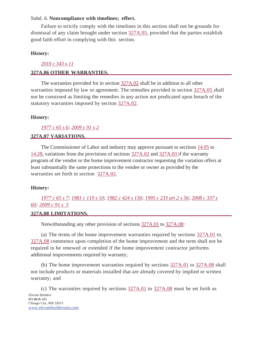#### Subd. 6. **Noncompliance with timelines; effect.**

Failure to strictly comply with the timelines in this section shall not be grounds for dismissal of any claim brought under section 327A.05, provided that the parties establish good faith effort in complying with this section.

#### **History:**

*2010 c 343 s 11*

#### **327A.06 OTHER WARRANTIES.**

The warranties provided for in section 327A.02 shall be in addition to all other warranties imposed by law or agreement. The remedies provided in section 327A.05 shall not be construed as limiting the remedies in any action not predicated upon breach of the statutory warranties imposed by section 327A.02.

#### **History:**

*1977 c 65 s 6; 2009 c 91 s 2*

#### **327A.07 VARIATIONS.**

The Commissioner of Labor and industry may approve pursuant to sections 14.05 to 14.28, variations from the provisions of sections 327A.02 and 327A.03 if the warranty program of the vendor or the home improvement contractor requesting the variation offers at least substantially the same protections to the vendee or owner as provided by the warranties set forth in section 327A.02.

#### **History:**

*1977 c 65 s 7; 1981 c 119 s 10; 1982 c 424 s 130; 1995 c 233 art 2 s 56; 2008 c 337 s 60; 2009 c 91 s 3*

#### **327A.08 LIMITATIONS.**

Notwithstanding any other provision of sections 327A.01 to 327A.08:

(a) The terms of the home improvement warranties required by sections 327A.01 to 327A.08 commence upon completion of the home improvement and the term shall not be required to be renewed or extended if the home improvement contractor performs additional improvements required by warranty;

(b) The home improvement warranties required by sections 327A.01 to 327A.08 shall not include products or materials installed that are already covered by implied or written warranty; and

Elevate Builders PO BOX 431 Chisago City, MN 55013 [www.elevatebuildersmn.com](http://www.nrphomes.com/) (c) The warranties required by sections  $327A.01$  to  $327A.08$  must be set forth as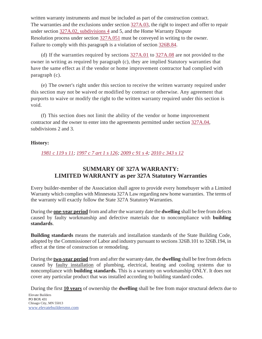written warranty instruments and must be included as part of the construction contract. The warranties and the exclusions under section 327A.03, the right to inspect and offer to repair under section 327A.02, subdivisions 4 and 5, and the Home Warranty Dispute Resolution process under section 327A.051 must be conveyed in writing to the owner. Failure to comply with this paragraph is a violation of section 326B.84.

(d) If the warranties required by sections 327A.01 to 327A.08 are not provided to the owner in writing as required by paragraph (c), they are implied Statutory warranties that have the same effect as if the vendor or home improvement contractor had complied with paragraph (c).

(e) The owner's right under this section to receive the written warranty required under this section may not be waived or modified by contract or otherwise. Any agreement that purports to waive or modify the right to the written warranty required under this section is void.

(f) This section does not limit the ability of the vendor or home improvement contractor and the owner to enter into the agreements permitted under section 327A.04, subdivisions 2 and 3.

#### **History:**

*1981 c 119 s 11; 1997 c 7 art 1 s 126; 2009 c 91 s 4; 2010 c 343 s 12*

### **SUMMARY OF 327A WARRANTY: LIMITED WARRANTY as per 327A Statutory Warranties**

Every builder-member of the Association shall agree to provide every homebuyer with a Limited Warranty which complies with Minnesota 327A Law regarding new home warranties. The terms of the warranty will exactly follow the State 327A Statutory Warranties.

During the **one-year period** from and after the warranty date the **dwelling** shall be free from defects caused by faulty workmanship and defective materials due to noncompliance with **building standards**.

**Building standards** means the materials and installation standards of the State Building Code, adopted by the Commissioner of Labor and industry pursuant to sections 326B.101 to 326B.194, in effect at the time of construction or remodeling.

During the **two-year period** from and after the warranty date, the **dwelling** shall be free from defects caused by faulty installation of plumbing, electrical, heating and cooling systems due to noncompliance with **building standards.** This is a warranty on workmanship ONLY. It does not cover any particular product that was installed according to building standard codes.

During the first **10 years** of ownership the **dwelling** shall be free from major structural defects due to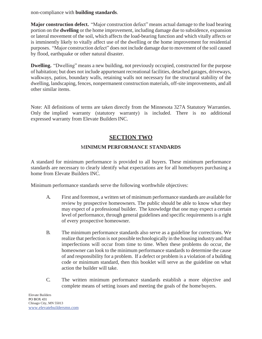non-compliance with **building standards**.

**Major construction defect.** "Major construction defect" means actual damage to the load bearing portion on the **dwelling** or the home improvement, including damage due to subsidence, expansion or lateral movement of the soil, which affects the load-bearing function and which vitally affects or is imminently likely to vitally affect use of the dwelling or the home improvement for residential purposes. "Major construction defect" does not include damage due to movement of the soil caused by flood, earthquake or other natural disaster.

**Dwelling.** "Dwelling" means a new building, not previously occupied, constructed for the purpose of habitation; but does not include appurtenant recreational facilities, detached garages, driveways, walkways, patios, boundary walls, retaining walls not necessary for the structural stability of the dwelling, landscaping, fences, nonpermanent construction materials, off-site improvements, and all other similar items.

Note: All definitions of terms are taken directly from the Minnesota 327A Statutory Warranties. Only the implied warranty (statutory warranty) is included. There is no additional expressed warranty from Elevate BuildersINC.

#### **SECTION TWO**

#### M**INIMUM PERFORMANCE STANDARDS**

A standard for minimum performance is provided to all buyers. These minimum performance standards are necessary to clearly identify what expectations are for all homebuyers purchasing a home from Elevate Builders INC.

Minimum performance standards serve the following worthwhile objectives:

- A. First and foremost, a written set of minimum performance standards are available for review by prospective homeowners. The public should be able to know what they may expect of a professional builder. The knowledge that one may expect a certain level of performance, through general guidelines and specific requirements is a right of every prospective homeowner.
- B. The minimum performance standards also serve as a guideline for corrections. We realize that perfection is not possible technologically in the housing industry and that imperfections will occur from time to time. When these problems do occur, the homeowner can look to the minimum performance standards to determine the cause of and responsibility for a problem. If a defect or problem is a violation of a building code or minimum standard, then this booklet will serve as the guideline on what action the builder will take.
- C. The written minimum performance standards establish a more objective and complete means of setting issues and meeting the goals of the home buyers.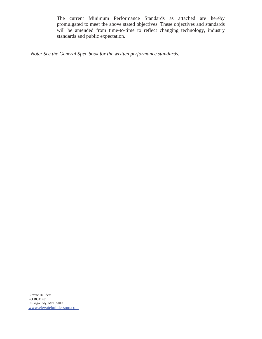The current Minimum Performance Standards as attached are hereby promulgated to meet the above stated objectives. These objectives and standards will be amended from time-to-time to reflect changing technology, industry standards and public expectation.

*Note: See the General Spec book for the written performance standards.*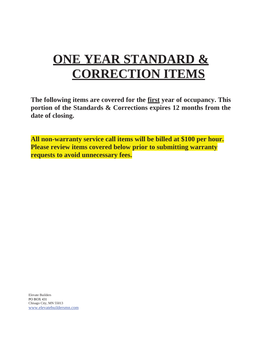## **ONE YEAR STANDARD & CORRECTION ITEMS**

**The following items are covered for the first year of occupancy. This portion of the Standards & Corrections expires 12 months from the date of closing.**

**All non-warranty service call items will be billed at \$100 per hour. Please review items covered below prior to submitting warranty requests to avoid unnecessary fees.**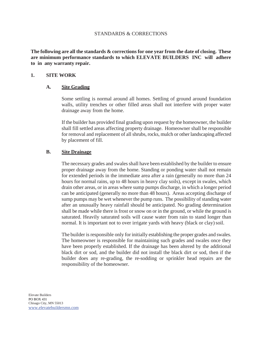#### STANDARDS & CORRECTIONS

**The following are all the standards & corrections for one year from the date of closing. These are minimum performance standards to which ELEVATE BUILDERS INC will adhere to in any warranty repair.**

#### **1. SITE WORK**

#### **A. Site Grading**

Some settling is normal around all homes. Settling of ground around foundation walls, utility trenches or other filled areas shall not interfere with proper water drainage away from the home.

If the builder has provided final grading upon request by the homeowner, the builder shall fill settled areas affecting property drainage. Homeowner shall be responsible for removal and replacement of all shrubs, rocks, mulch or other landscaping affected by placement of fill.

#### **B. Site Drainage**

The necessary grades and swales shall have been established by the builder to ensure proper drainage away from the home. Standing or ponding water shall not remain for extended periods in the immediate area after a rain (generally no more than 24 hours for normal rains, up to 48 hours in heavy clay soils), except in swales, which drain other areas, or in areas where sump pumps discharge, in which a longer period can be anticipated (generally no more than 48 hours). Areas accepting discharge of sump pumps may be wet whenever the pump runs. The possibility of standing water after an unusually heavy rainfall should be anticipated. No grading determination shall be made while there is frost or snow on or in the ground, or while the ground is saturated. Heavily saturated soils will cause water from rain to stand longer than normal. It is important not to over irrigate yards with heavy (black or clay) soil.

The builder is responsible only for initially establishing the proper grades and swales. The homeowner is responsible for maintaining such grades and swales once they have been properly established. If the drainage has been altered by the additional black dirt or sod, and the builder did not install the black dirt or sod, then if the builder does any re-grading, the re-sodding or sprinkler head repairs are the responsibility of the homeowner.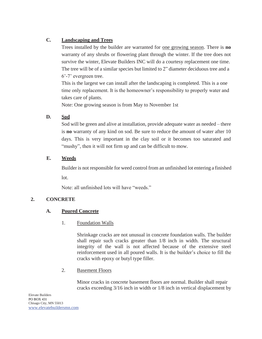#### **C. Landscaping and Trees**

Trees installed by the builder are warranted for one growing season. There is **no**  warranty of any shrubs or flowering plant through the winter. If the tree does not survive the winter, Elevate Builders INC will do a courtesy replacement one time. The tree will be of a similar species but limited to 2" diameter deciduous tree and a 6'-7' evergreen tree.

This is the largest we can install after the landscaping is completed. This is a one time only replacement. It is the homeowner's responsibility to properly water and takes care of plants.

Note: One growing season is from May to November 1st

#### **D. Sod**

Sod will be green and alive at installation, provide adequate water as needed – there is **no** warranty of any kind on sod. Be sure to reduce the amount of water after 10 days. This is very important in the clay soil or it becomes too saturated and "mushy", then it will not firm up and can be difficult to mow.

#### **E. Weeds**

Builder is not responsible for weed control from an unfinished lot entering a finished

lot.

Note: all unfinished lots will have "weeds."

#### **2. CONCRETE**

#### **A. Poured Concrete**

1. Foundation Walls

Shrinkage cracks are not unusual in concrete foundation walls. The builder shall repair such cracks greater than 1/8 inch in width. The structural integrity of the wall is not affected because of the extensive steel reinforcement used in all poured walls. It is the builder's choice to fill the cracks with epoxy or butyl type filler.

#### 2. Basement Floors

Minor cracks in concrete basement floors are normal. Builder shall repair cracks exceeding 3/16 inch in width or 1/8 inch in vertical displacement by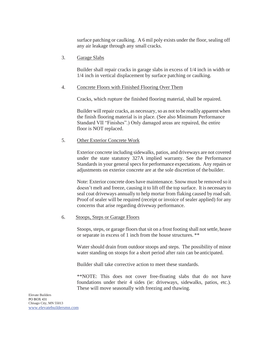surface patching or caulking. A 6 mil poly exists under the floor, sealing off any air leakage through any small cracks.

3. Garage Slabs

Builder shall repair cracks in garage slabs in excess of 1/4 inch in width or 1/4 inch in vertical displacement by surface patching or caulking.

#### 4. Concrete Floors with Finished Flooring Over Them

Cracks, which rupture the finished flooring material, shall be repaired.

Builder will repair cracks, as necessary, so as not to be readily apparent when the finish flooring material is in place. (See also Minimum Performance Standard VII "Finishes".) Only damaged areas are repaired, the entire floor is NOT replaced.

#### 5. Other Exterior Concrete Work

Exterior concrete including sidewalks, patios, and driveways are not covered under the state statutory 327A implied warranty. See the Performance Standards in your general specs for performance expectations. Any repairs or adjustments on exterior concrete are at the sole discretion of thebuilder.

Note: Exterior concrete does have maintenance. Snow must be removed so it doesn't melt and freeze, causing it to lift off the top surface. It is necessary to seal coat driveways annually to help mortar from flaking caused by road salt. Proof of sealer will be required (receipt or invoice of sealer applied) for any concerns that arise regarding driveway performance.

#### 6. Stoops, Steps or Garage Floors

Stoops, steps, or garage floors that sit on a frost footing shall not settle, heave or separate in excess of 1 inch from the house structures. \*\*

Water should drain from outdoor stoops and steps. The possibility of minor water standing on stoops for a short period after rain can be anticipated.

Builder shall take corrective action to meet these standards.

\*\*NOTE: This does not cover free-floating slabs that do not have foundations under their 4 sides (ie: driveways, sidewalks, patios, etc.). These will move seasonally with freezing and thawing.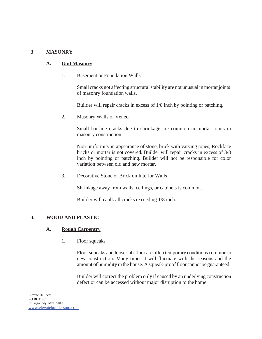#### **3. MASONRY**

#### **A. Unit Masonry**

#### 1. Basement or Foundation Walls

Small cracks not affecting structural stability are not unusual in mortar joints of masonry foundation walls.

Builder will repair cracks in excess of 1/8 inch by pointing or patching.

#### 2. Masonry Walls or Veneer

Small hairline cracks due to shrinkage are common in mortar joints in masonry construction.

Non-uniformity in appearance of stone, brick with varying tones, Rockface bricks or mortar is not covered. Builder will repair cracks in excess of 3/8 inch by pointing or patching. Builder will not be responsible for color variation between old and new mortar.

#### 3. Decorative Stone or Brick on Interior Walls

Shrinkage away from walls, ceilings, or cabinets is common.

Builder will caulk all cracks exceeding 1/8 inch.

#### **4. WOOD AND PLASTIC**

#### **A. Rough Carpentry**

#### 1. Floor squeaks

Floor squeaks and loose sub-floor are often temporary conditions common to new construction. Many times it will fluctuate with the seasons and the amount of humidity in the house. A squeak-proof floor cannot be guaranteed.

Builder will correct the problem only if caused by an underlying construction defect or can be accessed without major disruption to the home.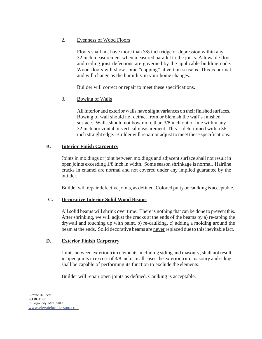#### 2. Evenness of Wood Floors

Floors shall not have more than 3/8 inch ridge or depression within any 32 inch measurement when measured parallel to the joists. Allowable floor and ceiling joist defections are governed by the applicable building code. Wood floors will show some "cupping" at certain seasons. This is normal and will change as the humidity in your home changes.

Builder will correct or repair to meet these specifications.

#### 3. Bowing of Walls

All interior and exterior walls have slight variances on their finished surfaces. Bowing of wall should not detract from or blemish the wall's finished surface. Walls should not bow more than 3/8 inch out of line within any 32 inch horizontal or vertical measurement. This is determined with a 36 inch straight edge. Builder will repair or adjust to meet these specifications.

#### **B. Interior Finish Carpentry**

Joints in moldings or joint between moldings and adjacent surface shall not result in open joints exceeding 1/8 inch in width. Some season shrinkage is normal. Hairline cracks in enamel are normal and not covered under any implied guarantee by the builder.

Builder will repair defective joints, as defined. Colored putty or caulking is acceptable.

#### **C. Decorative Interior Solid Wood Beams**

All solid beams will shrink over time. There is nothing that can be done to prevent this. After shrinking, we will adjust the cracks at the ends of the beams by a) re-taping the drywall and touching up with paint, b) re-caulking, c) adding a molding around the beam at the ends. Solid decorative beams are never replaced due to this inevitable fact.

#### **D. Exterior Finish Carpentry**

Joints between exterior trim elements, including siding and masonry, shall not result in open joints in excess of 3/8 inch. In all cases the exterior trim, masonry and siding shall be capable of performing its function to exclude the elements.

Builder will repair open joints as defined. Caulking is acceptable.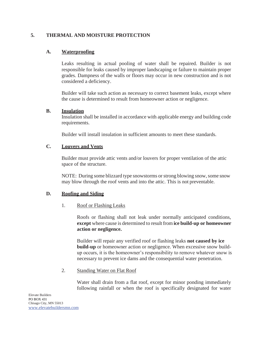#### **5. THERMAL AND MOISTURE PROTECTION**

#### **A. Waterproofing**

Leaks resulting in actual pooling of water shall be repaired. Builder is not responsible for leaks caused by improper landscaping or failure to maintain proper grades. Dampness of the walls or floors may occur in new construction and is not considered a deficiency.

Builder will take such action as necessary to correct basement leaks, except where the cause is determined to result from homeowner action or negligence.

#### **B. Insulation**

Insulation shall be installed in accordance with applicable energy and building code requirements.

Builder will install insulation in sufficient amounts to meet these standards.

#### **C. Louvers and Vents**

Builder must provide attic vents and/or louvers for proper ventilation of the attic space of the structure.

NOTE: During some blizzard type snowstorms or strong blowing snow, some snow may blow through the roof vents and into the attic. This is not preventable.

#### **D. Roofing and Siding**

1. Roof or Flashing Leaks

Roofs or flashing shall not leak under normally anticipated conditions, **except** where cause is determined to resultfrom **ice build-up or homeowner action or negligence.**

Builder will repair any verified roof or flashing leaks **not caused by ice build-up** or homeowner action or negligence. When excessive snow buildup occurs, it is the homeowner's responsibility to remove whatever snow is necessary to prevent ice dams and the consequential water penetration.

#### 2. Standing Water on Flat Roof

Water shall drain from a flat roof, except for minor ponding immediately following rainfall or when the roof is specifically designated for water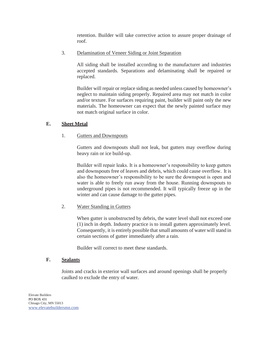retention. Builder will take corrective action to assure proper drainage of roof.

3. Delamination of Veneer Siding or Joint Separation

All siding shall be installed according to the manufacturer and industries accepted standards. Separations and delaminating shall be repaired or replaced.

Builder will repair or replace siding as needed unless caused by homeowner's neglect to maintain siding properly. Repaired area may not match in color and/or texture. For surfaces requiring paint, builder will paint only the new materials. The homeowner can expect that the newly painted surface may not match original surface in color.

#### **E. Sheet Metal**

#### 1. Gutters and Downspouts

Gutters and downspouts shall not leak, but gutters may overflow during heavy rain or ice build-up.

Builder will repair leaks. It is a homeowner's responsibility to keep gutters and downspouts free of leaves and debris, which could cause overflow. It is also the homeowner's responsibility to be sure the downspout is open and water is able to freely run away from the house. Running downspouts to underground pipes is not recommended. It will typically freeze up in the winter and can cause damage to the gutter pipes.

#### 2. Water Standing in Gutters

When gutter is unobstructed by debris, the water level shall not exceed one (1) inch in depth. Industry practice is to install gutters approximately level. Consequently, it is entirely possible that small amounts of water will stand in certain sections of gutter immediately after a rain.

Builder will correct to meet these standards.

#### **F. Sealants**

Joints and cracks in exterior wall surfaces and around openings shall be properly caulked to exclude the entry of water.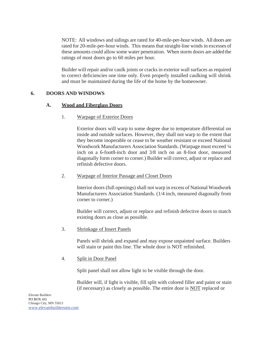NOTE: All windows and sidings are rated for 40-mile-per-hour winds. All doors are rated for 20-mile-per-hour winds. This means that straight-line winds in excesses of these amounts could allow some water penetration. When storm doors are added the ratings of most doors go to 60 miles per hour.

Builder will repair and/or caulk joints or cracks in exterior wall surfaces as required to correct deficiencies one time only. Even properly installed caulking will shrink and must be maintained during the life of the home by the homeowner.

#### **6. DOORS AND WINDOWS**

#### **A. Wood and Fiberglass Doors**

#### 1. Warpage of Exterior Doors

Exterior doors will warp to some degree due to temperature differential on inside and outside surfaces. However, they shall not warp to the extent that they become inoperable or cease to be weather resistant or exceed National Woodwork Manufacturers Association Standards. (Warpage must exceed  $\frac{1}{4}$ inch on a 6-foot8-inch door and 3/8 inch on an 8-foot door, measured diagonally form corner to corner.) Builder will correct, adjust or replace and refinish defective doors.

2. Warpage of Interior Passage and Closet Doors

Interior doors (full openings) shall not warp in excess of National Woodwork Manufacturers Association Standards. (1/4 inch, measured diagonally from corner to corner.)

Builder will correct, adjust or replace and refinish defective doors to match existing doors as close as possible.

3. Shrinkage of Insert Panels

Panels will shrink and expand and may expose unpainted surface. Builders will stain or paint this line. The whole door is NOT refinished.

4. Split in Door Panel

Split panel shall not allow light to be visible through the door.

Builder will, if light is visible, fill split with colored filler and paint or stain (if necessary) as closely as possible. The entire door is NOT replaced or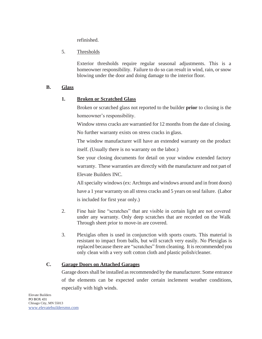refinished.

#### 5. Thresholds

Exterior thresholds require regular seasonal adjustments. This is a homeowner responsibility. Failure to do so can result in wind, rain, or snow blowing under the door and doing damage to the interior floor.

#### **B. Glass**

#### **1. Broken or Scratched Glass**

Broken or scratched glass not reported to the builder **prior** to closing is the homeowner's responsibility.

Window stress cracks are warrantied for 12 months from the date of closing. No further warranty exists on stress cracks in glass.

The window manufacturer will have an extended warranty on the product itself. (Usually there is no warranty on the labor.)

See your closing documents for detail on your window extended factory warranty. These warranties are directly with the manufacturer and not part of Elevate Builders INC.

All specialty windows (ex: Archtops and windows around and in front doors) have a 1 year warranty on all stress cracks and 5 years on seal failure. (Labor is included for first year only.)

- 2. Fine hair line "scratches" that are visible in certain light are not covered under any warranty. Only deep scratches that are recorded on the Walk Through sheet prior to move-in are covered.
- 3. Plexiglas often is used in conjunction with sports courts. This material is resistant to impact from balls, but will scratch very easily. No Plexiglas is replaced because there are "scratches" from cleaning. It is recommended you only clean with a very soft cotton cloth and plastic polish/cleaner.

#### **C. Garage Doors on Attached Garages**

Garage doors shall be installed as recommended by the manufacturer. Some entrance of the elements can be expected under certain inclement weather conditions, especially with high winds.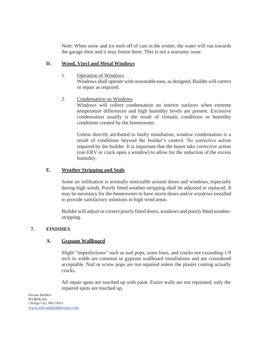Note: When snow and ice melt off of cars in the winter, the water will run towards the garage door and it may freeze there. This is not a warranty issue.

#### **D. Wood, Vinyl and Metal Windows**

1. Operation of Windows

Windowsshall operate with reasonable ease, as designed. Builder will correct or repair as required.

2. Condensation on Windows

Windows will collect condensation on interior surfaces when extreme temperature differences and high humidity levels are present. Excessive condensation usually is the result of climatic conditions or humidity conditions created by the homeowner.

Unless directly attributed to faulty installation, window condensation is a result of conditions beyond the builder's control. No corrective action required by the builder. It is important that the buyer take corrective action (run ERV or crack open a window) to allow for the reduction of the excess humidity.

#### **E. Weather Stripping and Seals**

Some air infiltration is normally noticeable around doors and windows, especially during high winds. Poorly fitted weather-stripping shall be adjusted or replaced. It may be necessary for the homeowner to have storm doors and/or windows installed to provide satisfactory solutions in high wind areas.

Builder will adjust or correct poorly fitted doors, windows and poorly fitted weatherstripping.

#### **7. FINISHES**

#### **A. Gypsum Wallboard**

Slight "imperfections" such as nail pops, seam lines, and cracks not exceeding 1/8 inch in width are common in gypsum wallboard installations and are considered acceptable. Nail or screw pops are not repaired unless the plaster coating actually cracks.

All repair spots are touched up with paint. Entire walls are not repainted; only the repaired spots are touched up.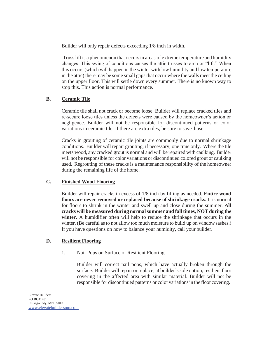Builder will only repair defects exceeding 1/8 inch in width.

Trusslift is a phenomenon that occursin areas of extreme temperature and humidity changes. This swing of conditions causes the attic trusses to arch or "lift." When this occurs (which will happen in the winter with low humidity and low temperature in the attic) there may be some small gaps that occur where the walls meet the ceiling on the upper floor. This will settle down every summer. There is no known way to stop this. This action is normal performance.

#### **B. Ceramic Tile**

Ceramic tile shall not crack or become loose. Builder will replace cracked tiles and re-secure loose tiles unless the defects were caused by the homeowner's action or negligence. Builder will not be responsible for discontinued patterns or color variations in ceramic tile. If there are extra tiles, be sure to save those.

Cracks in grouting of ceramic tile joints are commonly due to normal shrinkage conditions. Builder will repair grouting, if necessary, one time only. Where the tile meets wood, any cracked grout is normal and will be repaired with caulking. Builder will not be responsible for color variations or discontinued colored grout or caulking used. Regrouting of these cracks is a maintenance responsibility of the homeowner during the remaining life of the home.

#### **C. Finished Wood Flooring**

Builder will repair cracks in excess of 1/8 inch by filling as needed. **Entire wood floors are never removed or replaced because of shrinkage cracks.** It is normal for floors to shrink in the winter and swell up and close during the summer. **All cracks will be measured during normalsummer and fall times, NOT during the winter.** A humidifier often will help to reduce the shrinkage that occurs in the winter. (Be careful as to not allow too much moisture to build up on window sashes.) If you have questions on how to balance your humidity, call your builder.

#### **D. Resilient Flooring**

#### 1. Nail Pops on Surface of Resilient Flooring

Builder will correct nail pops, which have actually broken through the surface. Builder will repair or replace, at builder'ssole option, resilient floor covering in the affected area with similar material. Builder will not be responsible for discontinued patterns or color variations in the floor covering.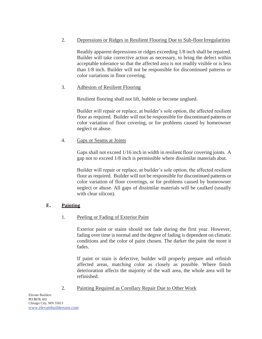2. Depressions or Ridges in Resilient Flooring Due to Sub-floor Irregularities

Readily apparent depressions or ridges exceeding 1/8 inch shall be repaired. Builder will take corrective action as necessary, to bring the defect within acceptable tolerance so that the affected area is not readily visible or is less than 1/8 inch. Builder will not be responsible for discontinued patterns or color variations in floor covering.

3. Adhesion of Resilient Flooring

Resilient flooring shall not lift, bubble or become unglued.

Builder will repair or replace, at builder's sole option, the affected resilient floor as required. Builder will not be responsible for discontinued patterns or color variation of floor covering, or for problems caused by homeowner neglect or abuse.

4. Gaps or Seams at Joints

Gaps shall not exceed 1/16 inch in width in resilient floor covering joints. A gap not to exceed 1/8 inch is permissible where dissimilar materials abut.

Builder will repair or replace, at builder's sole option, the affected resilient floor as required. Builder will not be responsible for discontinued patterns or color variation of floor coverings, or for problems caused by homeowner neglect or abuse. All gaps of dissimilar materials will be caulked (usually with clear silicon).

#### **E. Painting**

#### 1. Peeling or Fading of Exterior Paint

Exterior paint or stains should not fade during the first year. However, fading over time is normal and the degree of fading is dependent on climatic conditions and the color of paint chosen. The darker the paint the more it fades.

If paint or stain is defective, builder will properly prepare and refinish affected areas, matching color as closely as possible. Where finish deterioration affects the majority of the wall area, the whole area will be refinished.

2. Painting Required as Corollary Repair Due to Other Work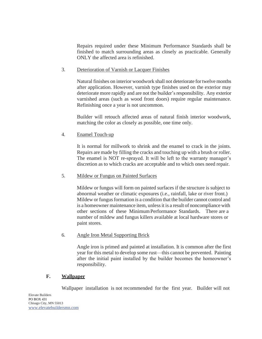Repairs required under these Minimum Performance Standards shall be finished to match surrounding areas as closely as practicable. Generally ONLY the affected area is refinished.

#### 3. Deterioration of Varnish or Lacquer Finishes

Natural finishes on interior woodwork shall not deteriorate for twelve months after application. However, varnish type finishes used on the exterior may deteriorate more rapidly and are not the builder's responsibility. Any exterior varnished areas (such as wood front doors) require regular maintenance. Refinishing once a year is not uncommon.

Builder will retouch affected areas of natural finish interior woodwork, matching the color as closely as possible, one time only.

#### 4. Enamel Touch-up

It is normal for millwork to shrink and the enamel to crack in the joints. Repairs are made by filling the cracks and touching up with a brush or roller. The enamel is NOT re-sprayed. It will be left to the warranty manager's discretion as to which cracks are acceptable and to which ones need repair.

#### 5. Mildew or Fungus on Painted Surfaces

Mildew or fungus will form on painted surfaces if the structure is subject to abnormal weather or climatic exposures (i.e., rainfall, lake or river front.) Mildew or fungus formation is a condition that the builder cannot control and is a homeowner maintenance item, unlessit is a result of noncompliance with other sections of these MinimumPerformance Standards. There are a number of mildew and fungus killers available at local hardware stores or paint stores.

#### 6. Angle Iron Metal Supporting Brick

Angle iron is primed and painted at installation. It is common after the first year for this metal to develop some rust—this cannot be prevented. Painting after the initial paint installed by the builder becomes the homeowner's responsibility.

#### **F. Wallpaper**

Wallpaper installation is not recommended for the first year. Builder will not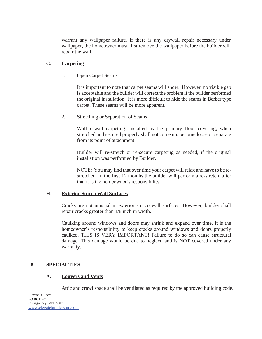warrant any wallpaper failure. If there is any drywall repair necessary under wallpaper, the homeowner must first remove the wallpaper before the builder will repair the wall.

#### **G. Carpeting**

#### 1. Open Carpet Seams

It is important to note that carpet seams will show. However, no visible gap is acceptable and the builder will correct the problem if the builder performed the original installation. It is more difficult to hide the seams in Berber type carpet. These seams will be more apparent.

#### 2. Stretching or Separation of Seams

Wall-to-wall carpeting, installed as the primary floor covering, when stretched and secured properly shall not come up, become loose or separate from its point of attachment.

Builder will re-stretch or re-secure carpeting as needed, if the original installation was performed by Builder.

NOTE: You may find that over time your carpet will relax and have to be restretched. In the first 12 months the builder will perform a re-stretch, after that it is the homeowner's responsibility.

#### **H. Exterior Stucco Wall Surfaces**

Cracks are not unusual in exterior stucco wall surfaces. However, builder shall repair cracks greater than 1/8 inch in width.

Caulking around windows and doors may shrink and expand over time. It is the homeowner's responsibility to keep cracks around windows and doors properly caulked. THIS IS VERY IMPORTANT! Failure to do so can cause structural damage. This damage would be due to neglect, and is NOT covered under any warranty.

#### **8. SPECIALTIES**

#### **A. Louvers and Vents**

Attic and crawl space shall be ventilated as required by the approved building code.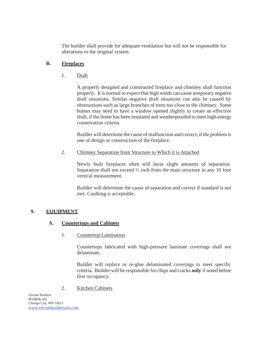The builder shall provide for adequate ventilation but will not be responsible for alterations to the original system.

#### **B. Fireplaces**

1. Draft

A properly designed and constructed fireplace and chimney shall function properly. It is normal to expect that high winds can cause temporary negative draft situations. Similar negative draft situations can also be caused by obstructions such as large branches of trees too close to the chimney. Some homes may need to have a window opened slightly to create an effective draft, if the home has been insulated and weatherproofed to meet high-energy conservation criteria.

Builder will determine the cause of malfunction and correct, if the problem is one of design or construction of the fireplace.

2. Chimney Separation from Structure to Which it is Attached

Newly built fireplaces often will incur slight amounts of separation. Separation shall not exceed  $\frac{1}{2}$  inch from the main structure in any 10 foot vertical measurement.

Builder will determine the cause of separation and correct if standard is not met. Caulking is acceptable.

#### **9. EQUIPMENT**

#### **A. Countertops and Cabinets**

1. Countertop Lamination

Countertops fabricated with high-pressure laminate coverings shall not delaminate.

Builder will replace or re-glue delaminated coverings to meet specific criteria. Builder will be responsible for chips and cracks **only** if noted before first occupancy.

2. Kitchen Cabinets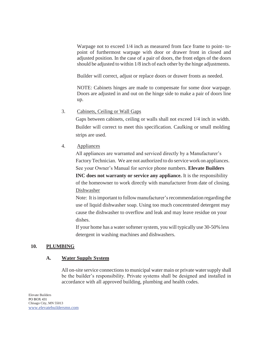Warpage not to exceed 1/4 inch as measured from face frame to point- topoint of furthermost warpage with door or drawer front in closed and adjusted position. In the case of a pair of doors, the front edges of the doors should be adjusted to within 1/8 inch of each other by the hinge adjustments.

Builder will correct, adjust or replace doors or drawer fronts as needed.

NOTE: Cabinets hinges are made to compensate for some door warpage. Doors are adjusted in and out on the hinge side to make a pair of doors line up.

3. Cabinets, Ceiling or Wall Gaps

Gaps between cabinets, ceiling or walls shall not exceed 1/4 inch in width. Builder will correct to meet this specification. Caulking or small molding strips are used.

4. Appliances

All appliances are warranted and serviced directly by a Manufacturer's Factory Technician. We are not authorized to do service work on appliances. See your Owner's Manual for service phone numbers. **Elevate Builders INC does not warranty or service any appliance.** It is the responsibility of the homeowner to work directly with manufacturer from date of closing. Dishwasher

Note: It is important to follow manufacturer's recommendation regarding the use of liquid dishwasher soap. Using too much concentrated detergent may cause the dishwasher to overflow and leak and may leave residue on your dishes.

If your home has a water softener system, you will typically use 30-50% less detergent in washing machines and dishwashers.

#### **10. PLUMBING**

#### **A. Water Supply System**

All on-site service connections to municipal water main or private water supply shall be the builder's responsibility. Private systems shall be designed and installed in accordance with all approved building, plumbing and health codes.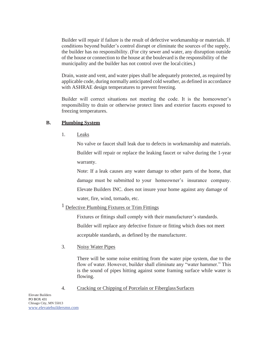Builder will repair if failure is the result of defective workmanship or materials. If conditions beyond builder's control disrupt or eliminate the sources of the supply, the builder has no responsibility. (For city sewer and water, any disruption outside of the house or connection to the house at the boulevard is the responsibility of the municipality and the builder has not control over the local cities.)

Drain, waste and vent, and water pipes shall be adequately protected, as required by applicable code, during normally anticipated cold weather, as defined in accordance with ASHRAE design temperatures to prevent freezing.

Builder will correct situations not meeting the code. It is the homeowner's responsibility to drain or otherwise protect lines and exterior faucets exposed to freezing temperatures.

#### **B. Plumbing System**

1. Leaks

No valve or faucet shall leak due to defects in workmanship and materials. Builder will repair or replace the leaking faucet or valve during the 1-year warranty.

Note: If a leak causes any water damage to other parts of the home, that damage must be submitted to your homeowner's insurance company. Elevate Builders INC. does not insure your home against any damage of water, fire, wind, tornado, etc.

### <sup>1</sup> Defective Plumbing Fixtures or Trim Fittings

Fixtures or fittings shall comply with their manufacturer's standards. Builder will replace any defective fixture or fitting which does not meet acceptable standards, as defined by the manufacturer.

#### 3. Noisy Water Pipes

There will be some noise emitting from the water pipe system, due to the flow of water. However, builder shall eliminate any "water hammer." This is the sound of pipes hitting against some framing surface while water is flowing.

4. Cracking or Chipping of Porcelain or Fiberglass Surfaces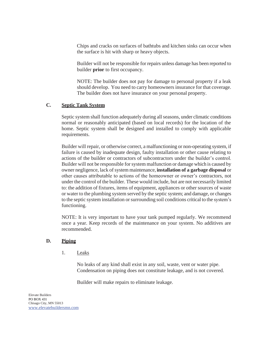Chips and cracks on surfaces of bathtubs and kitchen sinks can occur when the surface is hit with sharp or heavy objects.

Builder will not be responsible for repairs unless damage has been reported to builder **prior** to first occupancy.

NOTE: The builder does not pay for damage to personal property if a leak should develop. You need to carry homeowners insurance for that coverage. The builder does not have insurance on your personal property.

#### **C. Septic Tank System**

Septic system shall function adequately during allseasons, under climatic conditions normal or reasonably anticipated (based on local records) for the location of the home. Septic system shall be designed and installed to comply with applicable requirements.

Builder will repair, or otherwise correct, a malfunctioning or non-operating system, if failure is caused by inadequate design, faulty installation or other cause relating to actions of the builder or contractors of subcontractors under the builder's control. Builder will not be responsible forsystem malfunction or damage which is caused by owner negligence, lack ofsystem maintenance, **installation of a garbage disposal** or other causes attributable to actions of the homeowner or owner's contractors, not under the control of the builder. These would include, but are not necessarily limited to: the addition of fixtures, items of equipment, appliances or other sources of waste or water to the plumbing system served by the septic system; and damage, or changes to the septic system installation or surrounding soil conditions critical to the system's functioning.

NOTE: It is very important to have your tank pumped regularly. We recommend once a year. Keep records of the maintenance on your system. No additives are recommended.

#### **D. Piping**

1. Leaks

No leaks of any kind shall exist in any soil, waste, vent or water pipe. Condensation on piping does not constitute leakage, and is not covered.

Builder will make repairs to eliminate leakage.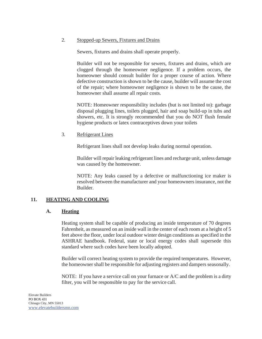#### 2. Stopped-up Sewers, Fixtures and Drains

Sewers, fixtures and drains shall operate properly.

Builder will not be responsible for sewers, fixtures and drains, which are clogged through the homeowner negligence. If a problem occurs, the homeowner should consult builder for a proper course of action. Where defective construction is shown to be the cause, builder will assume the cost of the repair; where homeowner negligence is shown to be the cause, the homeowner shall assume all repair costs.

NOTE: Homeowner responsibility includes (but is not limited to): garbage disposal plugging lines, toilets plugged, hair and soap build-up in tubs and showers, etc. It is strongly recommended that you do NOT flush female hygiene products or latex contraceptives down your toilets

3. Refrigerant Lines

Refrigerant lines shall not develop leaks during normal operation.

Builder will repair leaking refrigerant lines and recharge unit, unless damage was caused by the homeowner.

NOTE: Any leaks caused by a defective or malfunctioning ice maker is resolved between the manufacturer and your homeowners insurance, not the Builder.

#### **11. HEATING AND COOLING**

#### **A. Heating**

Heating system shall be capable of producing an inside temperature of 70 degrees Fahrenheit, as measured on an inside wall in the center of each room at a height of 5 feet above the floor, under local outdoor winter design conditions as specified in the ASHRAE handbook. Federal, state or local energy codes shall supersede this standard where such codes have been locally adopted.

Builder will correct heating system to provide the required temperatures. However, the homeowner shall be responsible for adjusting registers and dampers seasonally.

NOTE: If you have a service call on your furnace or A/C and the problem is a dirty filter, you will be responsible to pay for the service call.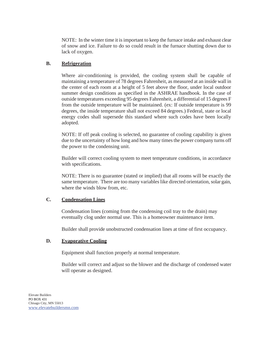NOTE: In the winter time it is important to keep the furnace intake and exhaust clear of snow and ice. Failure to do so could result in the furnace shutting down due to lack of oxygen.

#### **B. Refrigeration**

Where air-conditioning is provided, the cooling system shall be capable of maintaining a temperature of 78 degrees Fahrenheit, as measured at an inside wall in the center of each room at a height of 5 feet above the floor, under local outdoor summer design conditions as specified in the ASHRAE handbook. In the case of outside temperatures exceeding 95 degrees Fahrenheit, a differential of 15 degrees F from the outside temperature will be maintained. (ex: If outside temperature is 99 degrees, the inside temperature shall not exceed 84 degrees.) Federal, state or local energy codes shall supersede this standard where such codes have been locally adopted.

NOTE: If off peak cooling is selected, no guarantee of cooling capability is given due to the uncertainty of how long and how many times the power company turns off the power to the condensing unit.

Builder will correct cooling system to meet temperature conditions, in accordance with specifications.

NOTE: There is no guarantee (stated or implied) that all rooms will be exactly the same temperature. There are too many variables like directed orientation, solar gain, where the winds blow from, etc.

#### **C. Condensation Lines**

Condensation lines (coming from the condensing coil tray to the drain) may eventually clog under normal use. This is a homeowner maintenance item.

Builder shall provide unobstructed condensation lines at time of first occupancy.

#### **D. Evaporative Cooling**

Equipment shall function properly at normal temperature.

Builder will correct and adjust so the blower and the discharge of condensed water will operate as designed.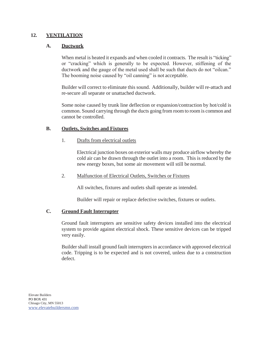#### **12. VENTILATION**

#### **A. Ductwork**

When metal is heated it expands and when cooled it contracts. The result is "ticking" or "cracking" which is generally to be expected. However, stiffening of the ductwork and the gauge of the metal used shall be such that ducts do not "oilcan." The booming noise caused by "oil canning" is not acceptable.

Builder will correct to eliminate this sound. Additionally, builder will re-attach and re-secure all separate or unattached ductwork.

Some noise caused by trunk line deflection or expansion/contraction by hot/cold is common. Sound carrying through the ducts going from room to room is common and cannot be controlled.

#### **B. Outlets, Switches and Fixtures**

#### 1. Drafts from electrical outlets

Electrical junction boxes on exterior walls may produce airflow whereby the cold air can be drawn through the outlet into a room. This is reduced by the new energy boxes, but some air movement will still be normal.

#### 2. Malfunction of Electrical Outlets, Switches or Fixtures

All switches, fixtures and outlets shall operate as intended.

Builder will repair or replace defective switches, fixtures or outlets.

#### **C. Ground Fault Interrupter**

Ground fault interrupters are sensitive safety devices installed into the electrical system to provide against electrical shock. These sensitive devices can be tripped very easily.

Builder shall install ground fault interrupters in accordance with approved electrical code. Tripping is to be expected and is not covered, unless due to a construction defect.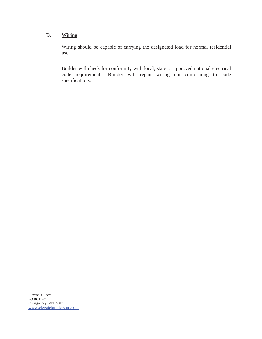#### **D. Wiring**

Wiring should be capable of carrying the designated load for normal residential use.

Builder will check for conformity with local, state or approved national electrical code requirements. Builder will repair wiring not conforming to code specifications.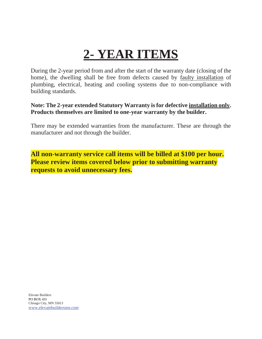## **2- YEAR ITEMS**

During the 2-year period from and after the start of the warranty date (closing of the home), the dwelling shall be free from defects caused by faulty installation of plumbing, electrical, heating and cooling systems due to non-compliance with building standards.

#### **Note: The 2-year extended Statutory Warranty isfor defective installation only. Products themselves are limited to one-year warranty by the builder.**

There may be extended warranties from the manufacturer. These are through the manufacturer and not through the builder.

**All non-warranty service call items will be billed at \$100 per hour. Please review items covered below prior to submitting warranty requests to avoid unnecessary fees.**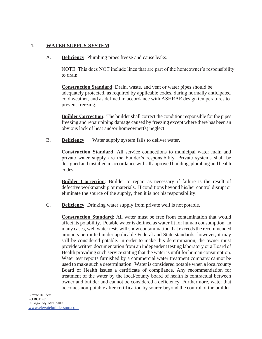#### **1. WATER SUPPLY SYSTEM**

A. **Deficiency**: Plumbing pipes freeze and cause leaks.

NOTE: This does NOT include lines that are part of the homeowner's responsibility to drain.

**Construction Standard**: Drain, waste, and vent or water pipes should be adequately protected, as required by applicable codes, during normally anticipated cold weather, and as defined in accordance with ASHRAE design temperatures to prevent freezing.

**Builder Correction**: The builder shall correct the condition responsible for the pipes freezing and repair piping damage caused by freezing except where there has been an obvious lack of heat and/or homeowner(s) neglect.

B. **Deficiency:** Water supply system fails to deliver water.

**Construction Standard**: All service connections to municipal water main and private water supply are the builder's responsibility. Private systems shall be designed and installed in accordance with all approved building, plumbing and health codes.

**Builder Correction**: Builder to repair as necessary if failure is the result of defective workmanship or materials. If conditions beyond his/her control disrupt or eliminate the source of the supply, then it is not hisresponsibility.

C. **Deficiency**: Drinking water supply from private well is not potable.

**Construction Standard**: All water must be free from contamination that would affect its potability. Potable water is defined as water fit for human consumption. In many cases, well water tests will show contamination that exceeds the recommended amounts permitted under applicable Federal and State standards; however, it may still be considered potable. In order to make this determination, the owner must provide written documentation from an independent testing laboratory or a Board of Health providing such service stating that the water is unfit for human consumption. Water test reports furnished by a commercial water treatment company cannot be used to make such a determination. Water is considered potable when a local/county Board of Health issues a certificate of compliance. Any recommendation for treatment of the water by the local/county board of health is contractual between owner and builder and cannot be considered a deficiency. Furthermore, water that becomes non-potable after certification by source beyond the control of the builder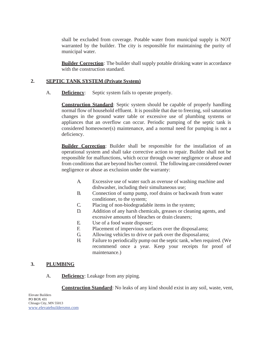shall be excluded from coverage. Potable water from municipal supply is NOT warranted by the builder. The city is responsible for maintaining the purity of municipal water.

**Builder Correction**: The builder shall supply potable drinking water in accordance with the construction standard.

#### **2. SEPTIC TANK SYSTEM (Private System)**

A. **Deficiency**: Septic system fails to operate properly.

**Construction Standard**: Septic system should be capable of properly handling normal flow of household effluent. It is possible that due to freezing, soil saturation changes in the ground water table or excessive use of plumbing systems or appliances that an overflow can occur. Periodic pumping of the septic tank is considered homeowner(s) maintenance, and a normal need for pumping is not a deficiency.

**Builder Correction**: Builder shall be responsible for the installation of an operational system and shall take corrective action to repair. Builder shall not be responsible for malfunctions, which occur through owner negligence or abuse and from conditions that are beyond his/her control. The following are considered owner negligence or abuse as exclusion under the warranty:

- A. Excessive use of water such as overuse of washing machine and dishwasher, including their simultaneous use;
- B. Connection of sump pump, roof drains or backwash from water conditioner, to the system;
- C. Placing of non-biodegradable items in the system;
- D. Addition of any harsh chemicals, greases or cleaning agents, and excessive amounts of bleaches or drain cleaners;
- E. Use of a food waste disposer;
- F. Placement of impervious surfaces over the disposalarea;
- G. Allowing vehicles to drive or park over the disposalarea;
- H. Failure to periodically pump out the septic tank, when required. (We recommend once a year. Keep your receipts for proof of maintenance.)

#### **3. PLUMBING**

A. **Deficiency**: Leakage from any piping.

**Construction Standard**: No leaks of any kind should exist in any soil, waste, vent,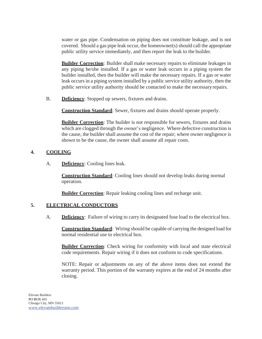water or gas pipe. Condensation on piping does not constitute leakage, and is not covered. Should a gas pipe leak occur, the homeowner(s) should call the appropriate public utility service immediately, and then report the leak to the builder.

**Builder Correction**: Builder shall make necessary repairs to eliminate leakages in any piping he/she installed. If a gas or water leak occurs in a piping system the builder installed, then the builder will make the necessary repairs. If a gas or water leak occurs in a piping system installed by a public service utility authority, then the public service utility authority should be contacted to make the necessaryrepairs.

B. **Deficiency**: Stopped up sewers, fixtures and drains.

**Construction Standard**: Sewer, fixtures and drains should operate properly.

**Builder Correction:** The builder is not responsible for sewers, fixtures and drains which are clogged through the owner's negligence. Where defective construction is the cause, the builder shall assume the cost of the repair; where owner negligence is shown to be the cause, the owner shall assume all repair costs.

#### **4. COOLING**

A. **Deficiency**: Cooling lines leak.

**Construction Standard**: Cooling lines should not develop leaks during normal operation.

**Builder Correction**: Repair leaking cooling lines and recharge unit.

#### **5. ELECTRICAL CONDUCTORS**

A. **Deficiency**: Failure of wiring to carry its designated fuse load to the electrical box.

**Construction Standard**: Wiring should be capable of carrying the designed load for normal residential use to electrical box.

**Builder Correction**: Check wiring for conformity with local and state electrical code requirements. Repair wiring if it does not conform to code specifications.

NOTE: Repair or adjustments on any of the above items does not extend the warranty period. This portion of the warranty expires at the end of 24 months after closing.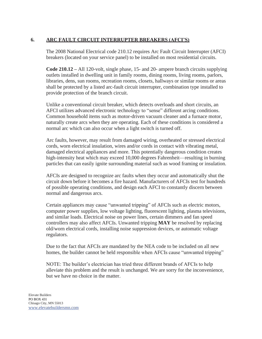#### **6. ARC FAULT CIRCUIT INTERRUPTER BREAKERS (AFCI'S)**

The 2008 National Electrical code 210.12 requires Arc Fault Circuit Interrupter (AFCI) breakers (located on your service panel) to be installed on most residential circuits.

**Code 210.12 –** All 120-volt, single phase, 15- and 20- ampere branch circuits supplying outlets installed in dwelling unit in family rooms, dining rooms, living rooms, parlors, libraries, dens, sun rooms, recreation rooms, closets, hallways or similar rooms or areas shall be protected by a listed arc-fault circuit interrupter, combination type installed to provide protection of the branch circuit.

Unlike a conventional circuit breaker, which detects overloads and short circuits, an AFCI utilizes advanced electronic technology to "sense" different arcing conditions. Common household items such as motor-driven vacuum cleaner and a furnace motor, naturally create arcs when they are operating. Each of these conditions is considered a normal arc which can also occur when a light switch is turned off.

Arc faults, however, may result from damaged wiring, overheated or stressed electrical cords, worn electrical insulation, wires and/or cords in contact with vibrating metal, damaged electrical appliances and more. This potentially dangerous condition creates high-intensity heat which may exceed 10,000 degrees Fahrenheit—resulting in burning particles that can easily ignite surrounding material such as wood framing or insulation.

AFCIs are designed to recognize arc faults when they occur and automatically shut the circuit down before it becomes a fire hazard. Manufacturers of AFCIs test for hundreds of possible operating conditions, and design each AFCI to constantly discern between normal and dangerous arcs.

Certain appliances may cause "unwanted tripping" of AFCIs such as electric motors, computer power supplies, low voltage lighting, fluorescent lighting, plasma televisions, and similar loads. Electrical noise on power lines, certain dimmers and fan speed controllers may also affect AFCIs. Unwanted tripping **MAY** be resolved by replacing old/worn electrical cords, installing noise suppression devices, or automatic voltage regulators.

Due to the fact that AFCIs are mandated by the NEA code to be included on all new homes, the builder cannot be held responsible when AFCIs cause "unwanted tripping"

NOTE: The builder's electrician has tried three different brands of AFCIs to help alleviate this problem and the result is unchanged. We are sorry for the inconvenience, but we have no choice in the matter.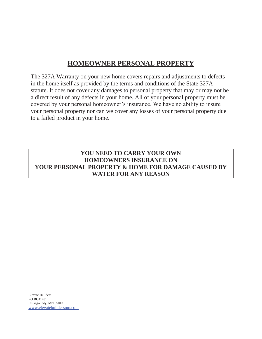### **HOMEOWNER PERSONAL PROPERTY**

The 327A Warranty on your new home covers repairs and adjustments to defects in the home itself as provided by the terms and conditions of the State 327A statute. It does not cover any damages to personal property that may or may not be a direct result of any defects in your home. All of your personal property must be covered by your personal homeowner's insurance. We have no ability to insure your personal property nor can we cover any losses of your personal property due to a failed product in your home.

#### **YOU NEED TO CARRY YOUR OWN HOMEOWNERS INSURANCE ON YOUR PERSONAL PROPERTY & HOME FOR DAMAGE CAUSED BY WATER FOR ANY REASON**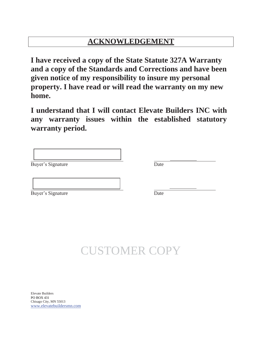### **ACKNOWLEDGEMENT**

**I have received a copy of the State Statute 327A Warranty and a copy of the Standards and Corrections and have been given notice of my responsibility to insure my personal property. I have read or will read the warranty on my new home.**

**I understand that I will contact Elevate Builders INC with any warranty issues within the established statutory warranty period.**

| Buyer's Signature | Date |
|-------------------|------|
|                   |      |
| Buyer's Signature | Date |
|                   |      |

## CUSTOMER COPY